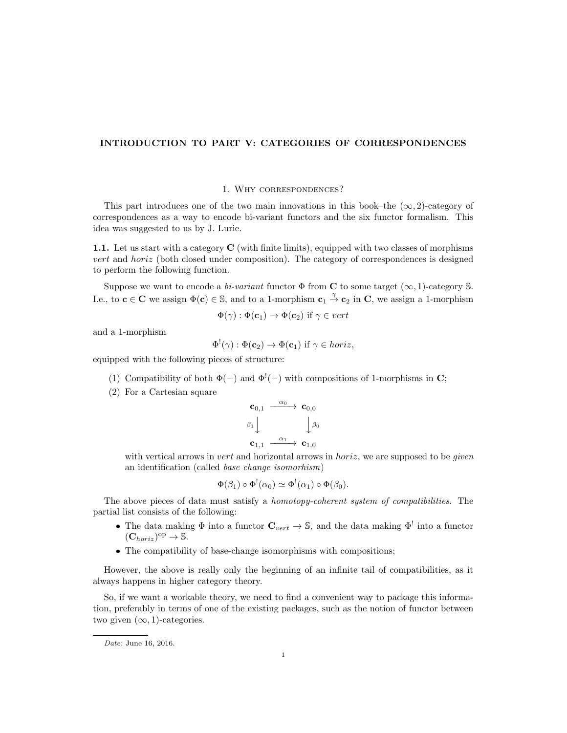# INTRODUCTION TO PART V: CATEGORIES OF CORRESPONDENCES

## 1. Why correspondences?

This part introduces one of the two main innovations in this book–the  $(\infty, 2)$ -category of correspondences as a way to encode bi-variant functors and the six functor formalism. This idea was suggested to us by J. Lurie.

1.1. Let us start with a category C (with finite limits), equipped with two classes of morphisms vert and horiz (both closed under composition). The category of correspondences is designed to perform the following function.

Suppose we want to encode a bi-variant functor  $\Phi$  from C to some target ( $\infty$ , 1)-category S. I.e., to  $c \in \mathbb{C}$  we assign  $\Phi(c) \in \mathbb{S}$ , and to a 1-morphism  $c_1 \overset{\gamma}{\to} c_2$  in  $\mathbb{C}$ , we assign a 1-morphism

$$
\Phi(\gamma) : \Phi(\mathbf{c}_1) \to \Phi(\mathbf{c}_2) \text{ if } \gamma \in vert
$$

and a 1-morphism

$$
\Phi^!(\gamma) : \Phi(\mathbf{c}_2) \to \Phi(\mathbf{c}_1) \text{ if } \gamma \in \text{horiz},
$$

equipped with the following pieces of structure:

- (1) Compatibility of both  $\Phi(-)$  and  $\Phi'(-)$  with compositions of 1-morphisms in C;
- (2) For a Cartesian square

$$
\begin{array}{ccc}\n\mathbf{c}_{0,1} & \xrightarrow{\alpha_0} & \mathbf{c}_{0,0} \\
\beta_1 \downarrow & & \downarrow \beta_0 \\
\mathbf{c}_{1,1} & \xrightarrow{\alpha_1} & \mathbf{c}_{1,0}\n\end{array}
$$

with vertical arrows in vert and horizontal arrows in *horiz*, we are supposed to be *given* an identification (called base change isomorhism)

$$
\Phi(\beta_1) \circ \Phi^!(\alpha_0) \simeq \Phi^!(\alpha_1) \circ \Phi(\beta_0).
$$

The above pieces of data must satisfy a homotopy-coherent system of compatibilities. The partial list consists of the following:

- The data making  $\Phi$  into a functor  $\mathbf{C}_{vert} \to \mathbb{S}$ , and the data making  $\Phi^!$  into a functor  $(\mathbf{C}_{horiz})^{\mathrm{op}} \to \mathbb{S}.$
- The compatibility of base-change isomorphisms with compositions;

However, the above is really only the beginning of an infinite tail of compatibilities, as it always happens in higher category theory.

So, if we want a workable theory, we need to find a convenient way to package this information, preferably in terms of one of the existing packages, such as the notion of functor between two given  $(\infty, 1)$ -categories.

Date: June 16, 2016.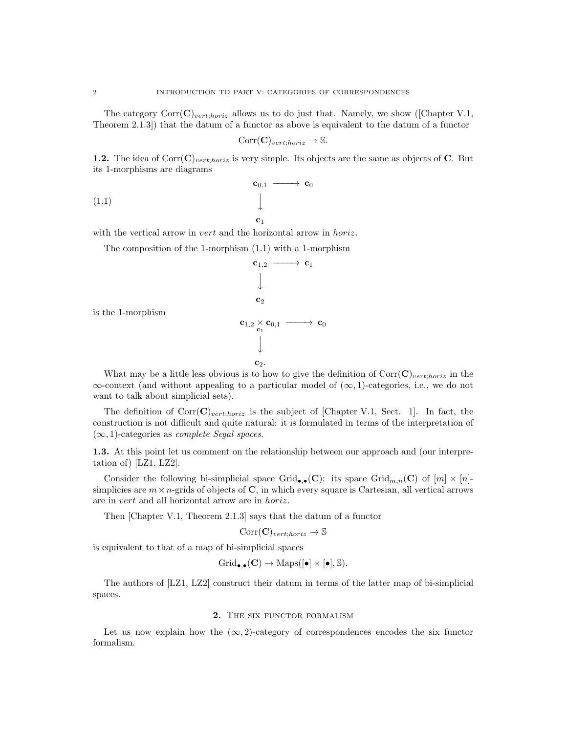The category  $Corr(\mathbf{C})_{vert:horiz}$  allows us to do just that. Namely, we show ([Chapter V.1, Theorem 2.1.3]) that the datum of a functor as above is equivalent to the datum of a functor

$$
Corr(\mathbf{C})_{vert;horiz} \to \mathbb{S}.
$$

1.2. The idea of  $Corr(\mathbf{C})_{vert,horiz}$  is very simple. Its objects are the same as objects of C. But its 1-morphisms are diagrams

$$
\begin{array}{ccc}\n\mathbf{c}_{0,1} & \longrightarrow & \mathbf{c}_0 \\
\downarrow & & \downarrow \\
\mathbf{c}_1 & & \downarrow\n\end{array}
$$

with the vertical arrow in *vert* and the horizontal arrow in *horiz*.

The composition of the 1-morphism (1.1) with a 1-morphism

$$
\begin{array}{ccc}\n\mathbf{c}_{1,2} & \longrightarrow & \mathbf{c}_1 \\
\downarrow & & \\
\mathbf{c}_2 & & \\
\mathbf{c}_{1,2} \times \mathbf{c}_{0,1} & \longrightarrow & \mathbf{c}_0 \\
\downarrow & & \\
\mathbf{c}_2 & & \\
\end{array}
$$

is the 1-morphism

What may be a little less obvious is to how to give the definition of  $Corr(\mathbf{C})_{vert,horiz}$  in the  $\infty$ -context (and without appealing to a particular model of  $(\infty, 1)$ -categories, i.e., we do not want to talk about simplicial sets).

The definition of  $Corr(\mathbf{C})_{vert,horiz}$  is the subject of [Chapter V.1, Sect. 1]. In fact, the construction is not difficult and quite natural: it is formulated in terms of the interpretation of  $(\infty, 1)$ -categories as *complete Segal spaces*.

1.3. At this point let us comment on the relationship between our approach and (our interpretation of) [LZ1, LZ2].

Consider the following bi-simplicial space Grid<sub>e,</sub>•(C): its space Grid<sub>m,n</sub>(C) of  $[m] \times [n]$ simplicies are  $m \times n$ -grids of objects of C, in which every square is Cartesian, all vertical arrows are in vert and all horizontal arrow are in horiz.

Then [Chapter V.1, Theorem 2.1.3] says that the datum of a functor

 $Corr(\mathbf{C})_{vert;horiz} \rightarrow \mathbb{S}$ 

is equivalent to that of a map of bi-simplicial spaces

$$
Grid_{\bullet,\bullet}(\mathbf{C}) \to \mathrm{Maps}([\bullet] \times [\bullet], \mathbb{S}).
$$

The authors of [LZ1, LZ2] construct their datum in terms of the latter map of bi-simplicial spaces.

### 2. THE SIX FUNCTOR FORMALISM

Let us now explain how the  $(\infty, 2)$ -category of correspondences encodes the six functor formalism.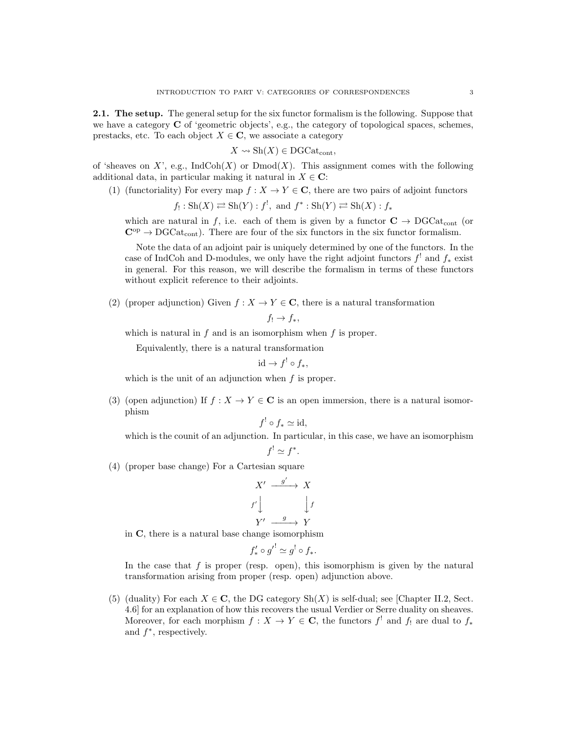2.1. The setup. The general setup for the six functor formalism is the following. Suppose that we have a category C of 'geometric objects', e.g., the category of topological spaces, schemes, prestacks, etc. To each object  $X \in \mathbb{C}$ , we associate a category

$$
X \leadsto Sh(X) \in \mathrm{DGCat}_{\mathrm{cont}},
$$

of 'sheaves on X', e.g.,  $\text{IndCoh}(X)$  or  $\text{Dmod}(X)$ . This assignment comes with the following additional data, in particular making it natural in  $X \in \mathbb{C}$ :

(1) (functoriality) For every map  $f: X \to Y \in \mathbf{C}$ , there are two pairs of adjoint functors

$$
f_! : Sh(X) \rightleftarrows Sh(Y) : f^!,
$$
 and  $f^* : Sh(Y) \rightleftarrows Sh(X) : f_*$ 

which are natural in f, i.e. each of them is given by a functor  $C \rightarrow DGCat_{cont}$  (or  $\mathbf{C}^{\mathrm{op}} \to \mathrm{DGCat}_{\mathrm{cont}}$ . There are four of the six functors in the six functor formalism.

Note the data of an adjoint pair is uniquely determined by one of the functors. In the case of IndCoh and D-modules, we only have the right adjoint functors  $f'$  and  $f_*$  exist in general. For this reason, we will describe the formalism in terms of these functors without explicit reference to their adjoints.

(2) (proper adjunction) Given  $f: X \to Y \in \mathbf{C}$ , there is a natural transformation

$$
f_!\rightarrow f_*,
$$

which is natural in  $f$  and is an isomorphism when  $f$  is proper.

Equivalently, there is a natural transformation

$$
\mathrm{id} \to f^! \circ f_*,
$$

which is the unit of an adjunction when f is proper.

(3) (open adjunction) If  $f : X \to Y \in \mathbf{C}$  is an open immersion, there is a natural isomorphism

$$
f^! \circ f_* \simeq \mathrm{id},
$$

which is the counit of an adjunction. In particular, in this case, we have an isomorphism

$$
f^! \simeq f^*.
$$

(4) (proper base change) For a Cartesian square

$$
X' \xrightarrow{g'} X
$$
  

$$
f' \downarrow \qquad \qquad \downarrow f
$$
  

$$
Y' \xrightarrow{g} Y
$$

in C, there is a natural base change isomorphism

$$
f'_* \circ g'^! \simeq g^! \circ f_*.
$$

In the case that  $f$  is proper (resp. open), this isomorphism is given by the natural transformation arising from proper (resp. open) adjunction above.

(5) (duality) For each  $X \in \mathbf{C}$ , the DG category  $\text{Sh}(X)$  is self-dual; see [Chapter II.2, Sect. 4.6] for an explanation of how this recovers the usual Verdier or Serre duality on sheaves. Moreover, for each morphism  $f: X \to Y \in \mathbb{C}$ , the functors  $f^!$  and  $f_!$  are dual to  $f_*$ and  $f^*$ , respectively.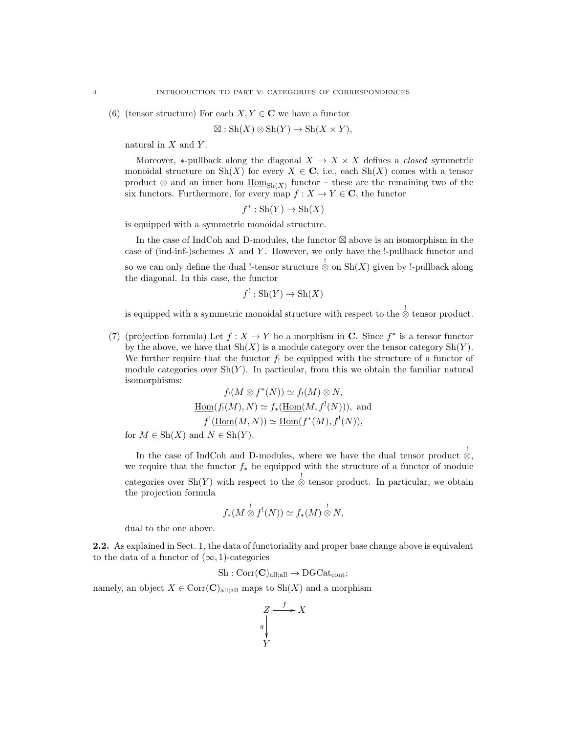(6) (tensor structure) For each  $X, Y \in \mathbb{C}$  we have a functor

$$
\boxtimes : \operatorname{Sh}(X) \otimes \operatorname{Sh}(Y) \to \operatorname{Sh}(X \times Y),
$$

natural in  $X$  and  $Y$ .

Moreover, \*-pullback along the diagonal  $X \to X \times X$  defines a *closed* symmetric monoidal structure on  $\text{Sh}(X)$  for every  $X \in \mathbf{C}$ , i.e., each  $\text{Sh}(X)$  comes with a tensor product  $\otimes$  and an inner hom  $\underline{\text{Hom}}_{\text{Sh}(X)}$  functor – these are the remaining two of the six functors. Furthermore, for every map  $f: X \to Y \in \mathbb{C}$ , the functor

 $f^*: Sh(Y) \to Sh(X)$ 

is equipped with a symmetric monoidal structure.

In the case of IndCoh and D-modules, the functor  $\boxtimes$  above is an isomorphism in the case of (ind-inf-)schemes  $X$  and  $Y$ . However, we only have the  $!$ -pullback functor and so we can only define the dual !-tensor structure  $\stackrel{!}{\otimes}$  on  $\text{Sh}(X)$  given by !-pullback along the diagonal. In this case, the functor

$$
f^!: \mathrm{Sh}(Y) \to \mathrm{Sh}(X)
$$

is equipped with a symmetric monoidal structure with respect to the ⊗ tensor product.

(7) (projection formula) Let  $f: X \to Y$  be a morphism in C. Since  $f^*$  is a tensor functor by the above, we have that  $\text{Sh}(X)$  is a module category over the tensor category  $\text{Sh}(Y)$ . We further require that the functor  $f_!$  be equipped with the structure of a functor of module categories over  $\mathrm{Sh}(Y)$ . In particular, from this we obtain the familiar natural isomorphisms:

$$
f_!(M \otimes f^*(N)) \simeq f_!(M) \otimes N,
$$
  
\n
$$
\underline{\text{Hom}}(f_!(M), N) \simeq f_*(\underline{\text{Hom}}(M, f^!(N))), \text{ and }
$$
  
\n
$$
f^!(\underline{\text{Hom}}(M, N)) \simeq \underline{\text{Hom}}(f^*(M), f^!(N)),
$$
  
\nfor  $M \in Sh(X)$  and  $N \in Sh(Y)$ .

In the case of IndCoh and D-modules, where we have the dual tensor product  $\stackrel{!}{\otimes}$ , we require that the functor  $f_*$  be equipped with the structure of a functor of module categories over Sh(Y) with respect to the  $\stackrel{!}{\otimes}$  tensor product. In particular, we obtain the projection formula

$$
f_*(M\overset{!}{\otimes} f^!(N))\simeq f_*(M)\overset{!}{\otimes}N,
$$

dual to the one above.

2.2. As explained in Sect. 1, the data of functoriality and proper base change above is equivalent to the data of a functor of  $(\infty, 1)$ -categories

$$
Sh:Corr(\mathbf{C})_{all;all} \to DGCat_{cont};
$$

namely, an object  $X \in \text{Corr}(\mathbf{C})$ <sub>all;all</sub> maps to  $\text{Sh}(X)$  and a morphism

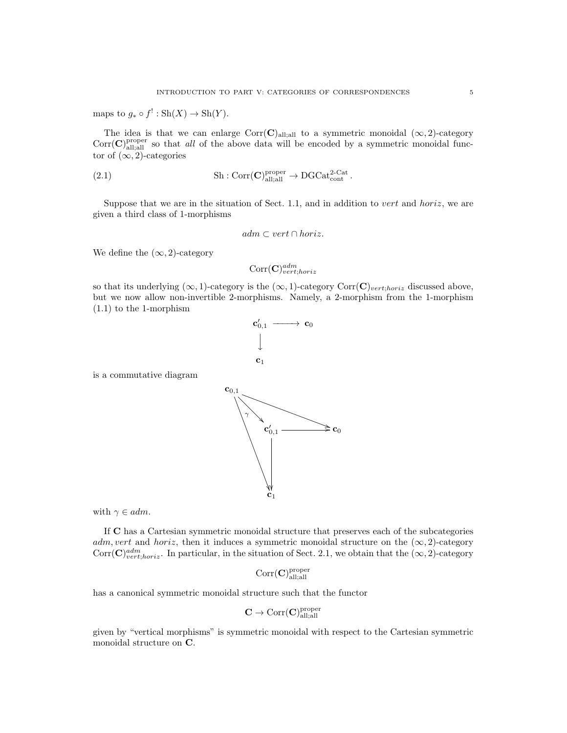maps to  $g_* \circ f' : Sh(X) \to Sh(Y)$ .

The idea is that we can enlarge  $Corr(C)_{all;all}$  to a symmetric monoidal  $(\infty, 2)$ -category  $Corr(C)_{\text{all;all}}^{\text{proper}}$  so that *all* of the above data will be encoded by a symmetric monoidal functor of  $(\infty, 2)$ -categories

(2.1) 
$$
\text{Sh}: \text{Corr}(\mathbf{C})^{\text{proper}}_{\text{all;all}} \to \text{DGCat}_{\text{cont}}^{2-\text{Cat}}.
$$

Suppose that we are in the situation of Sect. 1.1, and in addition to vert and horiz, we are given a third class of 1-morphisms

$$
adm \subset vert \cap horiz.
$$

We define the  $(\infty, 2)$ -category

$$
\text{Corr}(\mathbf{C})^{adm}_{vert;horiz}
$$

so that its underlying  $(\infty, 1)$ -category is the  $(\infty, 1)$ -category Corr $(C)_{vert; horiz}$  discussed above, but we now allow non-invertible 2-morphisms. Namely, a 2-morphism from the 1-morphism (1.1) to the 1-morphism



is a commutative diagram

with  $\gamma \in \mathit{adm}$ .

If C has a Cartesian symmetric monoidal structure that preserves each of the subcategories adm, vert and horiz, then it induces a symmetric monoidal structure on the  $(\infty, 2)$ -category  $Corr(\mathbf{C})^{adm}_{vert;horiz}$ . In particular, in the situation of Sect. 2.1, we obtain that the  $(\infty, 2)$ -category

$$
\mathrm{Corr}(\mathbf{C})_{\mathrm{all;all}}^{\mathrm{proper}}
$$

has a canonical symmetric monoidal structure such that the functor

$$
\mathbf{C} \to \mathrm{Corr}(\mathbf{C})_{\mathrm{all;all}}^{\mathrm{proper}}
$$

given by "vertical morphisms" is symmetric monoidal with respect to the Cartesian symmetric monoidal structure on C.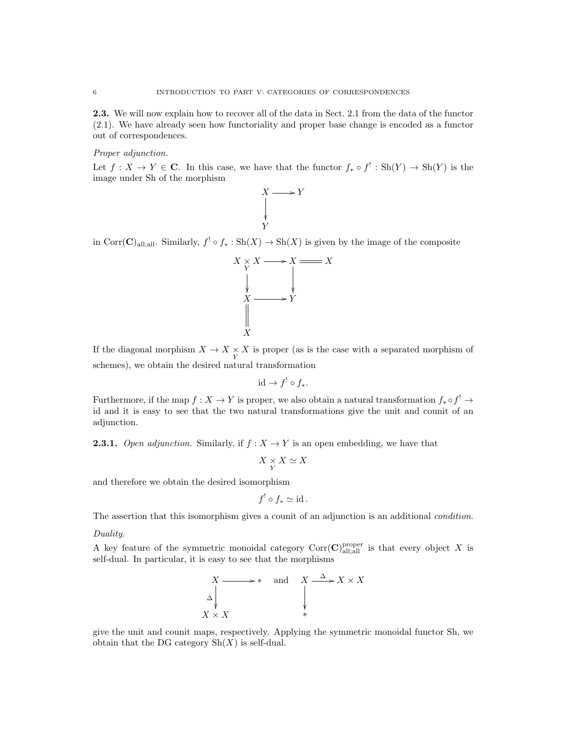2.3. We will now explain how to recover all of the data in Sect. 2.1 from the data of the functor (2.1). We have already seen how functoriality and proper base change is encoded as a functor out of correspondences.

Proper adjunction.

Let  $f: X \to Y \in \mathbb{C}$ . In this case, we have that the functor  $f_* \circ f' : Sh(Y) \to Sh(Y)$  is the image under Sh of the morphism



in Corr $(C)_{\text{all,all}}$ . Similarly,  $f' \circ f_* : \text{Sh}(X) \to \text{Sh}(X)$  is given by the image of the composite



If the diagonal morphism  $X \to X \underset{Y}{\times} X$  is proper (as is the case with a separated morphism of schemes), we obtain the desired natural transformation

$$
\mathrm{id} \to f^! \circ f_*.
$$

Furthermore, if the map  $f: X \to Y$  is proper, we also obtain a natural transformation  $f_* \circ f^! \to$ id and it is easy to see that the two natural transformations give the unit and counit of an adjunction.

**2.3.1.** Open adjunction. Similarly, if  $f: X \to Y$  is an open embedding, we have that

$$
X\underset{Y}{\times}X\simeq X
$$

and therefore we obtain the desired isomorphism

$$
f^! \circ f_* \simeq \mathrm{id} \, .
$$

The assertion that this isomorphism gives a counit of an adjunction is an additional *condition*.

Duality.

A key feature of the symmetric monoidal category  $Corr(C)_{\text{all;all}}^{\text{proper}}$  is that every object X is self-dual. In particular, it is easy to see that the morphisms



give the unit and counit maps, respectively. Applying the symmetric monoidal functor Sh, we obtain that the DG category  $\mathrm{Sh}(X)$  is self-dual.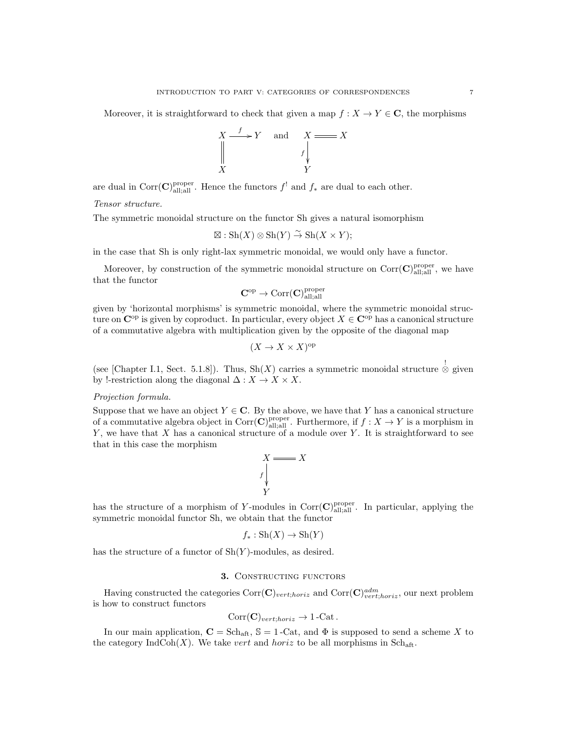Moreover, it is straightforward to check that given a map  $f : X \to Y \in \mathbb{C}$ , the morphisms



are dual in Corr $(\mathbf{C})^{\text{proper}}_{\text{all;all}}$ . Hence the functors  $f^!$  and  $f_*$  are dual to each other.

Tensor structure.

The symmetric monoidal structure on the functor Sh gives a natural isomorphism

$$
\boxtimes : \mathrm{Sh}(X) \otimes \mathrm{Sh}(Y) \overset{\sim}{\to} \mathrm{Sh}(X \times Y);
$$

in the case that Sh is only right-lax symmetric monoidal, we would only have a functor.

Moreover, by construction of the symmetric monoidal structure on  $Corr(\mathbf{C})_{\text{all;all}}^{\text{proper}}$ , we have that the functor

$$
\mathbf{C}^{\mathrm{op}} \to \mathrm{Corr}(\mathbf{C})^{\mathrm{proper}}_{\mathrm{all;all}}
$$

given by 'horizontal morphisms' is symmetric monoidal, where the symmetric monoidal structure on  $\mathbb{C}^{\text{op}}$  is given by coproduct. In particular, every object  $X \in \mathbb{C}^{\text{op}}$  has a canonical structure of a commutative algebra with multiplication given by the opposite of the diagonal map

$$
(X \to X \times X)^{\text{op}}
$$

(see [Chapter I.1, Sect. 5.1.8]). Thus, Sh(X) carries a symmetric monoidal structure  $\stackrel{!}{\otimes}$  given by !-restriction along the diagonal  $\Delta: X \to X \times X$ .

## Projection formula.

Suppose that we have an object  $Y \in \mathbb{C}$ . By the above, we have that Y has a canonical structure of a commutative algebra object in Corr $(\mathbf{C})_{\text{all;all}}^{\text{proper}}$ . Furthermore, if  $f: X \to Y$  is a morphism in  $Y$ , we have that  $X$  has a canonical structure of a module over  $Y$ . It is straightforward to see that in this case the morphism



has the structure of a morphism of Y-modules in Corr $(C)_{\text{all;all}}^{\text{proper}}$ . In particular, applying the symmetric monoidal functor Sh, we obtain that the functor

$$
f_*: \operatorname{Sh}(X) \to \operatorname{Sh}(Y)
$$

has the structure of a functor of  $\text{Sh}(Y)$ -modules, as desired.

### 3. CONSTRUCTING FUNCTORS

Having constructed the categories  $Corr(\mathbf{C})_{vert;horiz}$  and  $Corr(\mathbf{C})_{vert;horiz}^{adm}$ , our next problem is how to construct functors

$$
Corr(\mathbf{C})_{vert;horiz} \to 1\text{-Cat}.
$$

In our main application,  $C = Sch_{\text{aff}}, S = 1$ -Cat, and  $\Phi$  is supposed to send a scheme X to the category IndCoh(X). We take vert and horiz to be all morphisms in  $\text{Sch}_{\text{aff}}$ .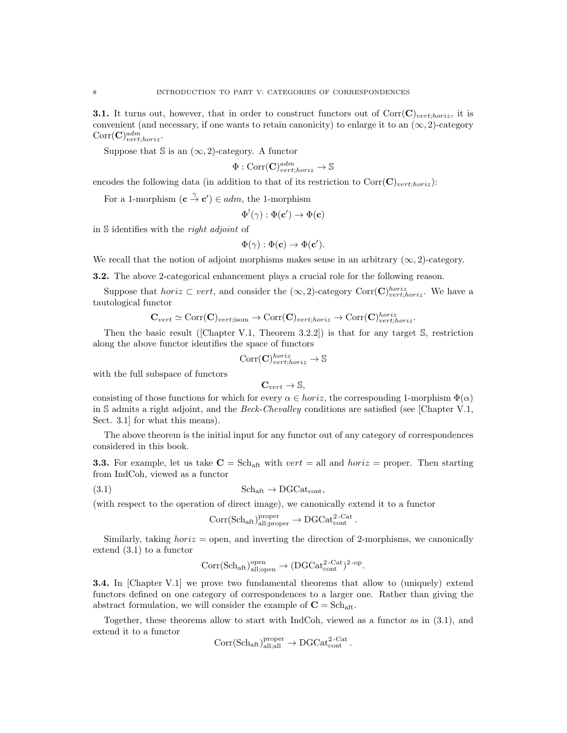**3.1.** It turns out, however, that in order to construct functors out of  $Corr(\mathbf{C})_{vert.$  it is convenient (and necessary, if one wants to retain canonicity) to enlarge it to an  $(\infty, 2)$ -category  $Corr(\mathbf{C})^{adm}_{vert;horiz}.$ 

Suppose that  $\Im$  is an  $(\infty, 2)$ -category. A functor

$$
\Phi : \text{Corr}(\mathbf{C})_{vert;horiz}^{adm} \to \mathbb{S}
$$

encodes the following data (in addition to that of its restriction to  $Corr(\mathbf{C})_{vert,horiz})$ :

For a 1-morphism  $(c \stackrel{\gamma}{\to} c') \in adm$ , the 1-morphism

$$
\Phi^!(\gamma):\Phi(\mathbf{c}')\to\Phi(\mathbf{c})
$$

in S identifies with the right adjoint of

$$
\Phi(\gamma) : \Phi(\mathbf{c}) \to \Phi(\mathbf{c}').
$$

We recall that the notion of adjoint morphisms makes sense in an arbitrary  $(\infty, 2)$ -category.

3.2. The above 2-categorical enhancement plays a crucial role for the following reason.

Suppose that *horiz*  $\subset vert$ , and consider the  $(\infty, 2)$ -category  $Corr(\mathbf{C})_{vert, horiz}^{horiz}$ . We have a tautological functor

$$
\mathbf{C}_{vert} \simeq \text{Corr}(\mathbf{C})_{vert; isom} \rightarrow \text{Corr}(\mathbf{C})_{vert; horiz} \rightarrow \text{Corr}(\mathbf{C})_{vert; horiz}^{horiz}
$$

Then the basic result ([Chapter V.1, Theorem 3.2.2]) is that for any target  $\mathbb{S}$ , restriction along the above functor identifies the space of functors

$$
\text{Corr}(\mathbf{C})_{vert;horiz}^{horiz} \rightarrow \mathbb{S}
$$

with the full subspace of functors

$$
\mathbf{C}_{vert}\rightarrow \mathbb{S},
$$

consisting of those functions for which for every  $\alpha \in horiz$ , the corresponding 1-morphism  $\Phi(\alpha)$ in S admits a right adjoint, and the Beck-Chevalley conditions are satisfied (see [Chapter V.1, Sect. 3.1] for what this means).

The above theorem is the initial input for any functor out of any category of correspondences considered in this book.

**3.3.** For example, let us take  $C = Sch_{att}$  with vert = all and horiz = proper. Then starting from IndCoh, viewed as a functor

$$
(3.1) \t\t Schaff \to DGCatcont,
$$

(with respect to the operation of direct image), we canonically extend it to a functor

$$
\mathrm{Corr}(\mathrm{Sch}_\mathrm{aft})^\mathrm{proper}_\mathrm{all;proper} \to \mathrm{DGCat}_\mathrm{cont}^{2\text{-}\mathrm{Cat}}\,.
$$

Similarly, taking *horiz* = open, and inverting the direction of 2-morphisms, we canonically extend (3.1) to a functor

$$
\mathrm{Corr}(\mathrm{Sch}_\mathrm{aft})^\mathrm{open}_\mathrm{all;open} \to (\mathrm{DGCat}_\mathrm{cont}^{2\text{-}\mathrm{Cat}})^{2\text{-}\mathrm{op}}.
$$

**3.4.** In [Chapter V.1] we prove two fundamental theorems that allow to (uniquely) extend functors defined on one category of correspondences to a larger one. Rather than giving the abstract formulation, we will consider the example of  $C = Sch_{\text{aff}}$ .

Together, these theorems allow to start with IndCoh, viewed as a functor as in (3.1), and extend it to a functor

$$
\mathrm{Corr}(\mathrm{Sch}_{\mathrm{aft}})_{\mathrm{all;all}}^{\mathrm{proper}} \to \mathrm{DGCat}_{\mathrm{cont}}^{2\text{-}\mathrm{Cat}}\,.
$$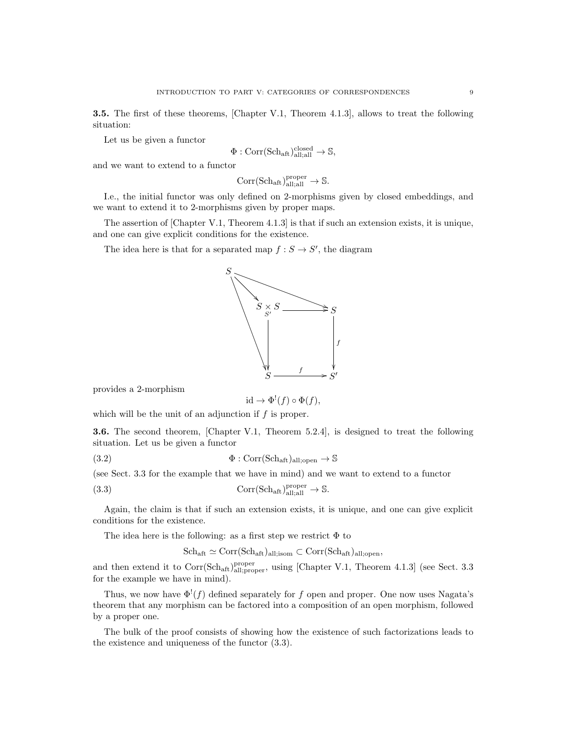3.5. The first of these theorems, [Chapter V.1, Theorem 4.1.3], allows to treat the following situation:

Let us be given a functor

$$
\Phi : \text{Corr}(\text{Sch}_{\text{aft}})_{\text{all;all}}^{\text{closed}} \to \mathbb{S},
$$

and we want to extend to a functor

$$
\mathrm{Corr}(\mathrm{Sch}_{\mathrm{aft}})_{\mathrm{all};\mathrm{all}}^{\mathrm{proper}} \to \mathbb{S}.
$$

I.e., the initial functor was only defined on 2-morphisms given by closed embeddings, and we want to extend it to 2-morphisms given by proper maps.

The assertion of [Chapter V.1, Theorem 4.1.3] is that if such an extension exists, it is unique, and one can give explicit conditions for the existence.

The idea here is that for a separated map  $f : S \to S'$ , the diagram



provides a 2-morphism

 $\mathrm{id} \to \Phi^!(f) \circ \Phi(f),$ 

which will be the unit of an adjunction if  $f$  is proper.

3.6. The second theorem, [Chapter V.1, Theorem 5.2.4], is designed to treat the following situation. Let us be given a functor

(3.2) 
$$
\Phi : \text{Corr}(\text{Sch}_{\text{aft}})_{\text{all;open}} \to \mathbb{S}
$$

(see Sect. 3.3 for the example that we have in mind) and we want to extend to a functor

(3.3) 
$$
Corr(\text{Sch}_{\text{aft}})_{\text{all;all}}^{\text{proper}} \to \mathbb{S}.
$$

Again, the claim is that if such an extension exists, it is unique, and one can give explicit conditions for the existence.

The idea here is the following: as a first step we restrict  $\Phi$  to

 $\mathrm{Sch}_{\mathrm{aft}} \simeq \mathrm{Corr}(\mathrm{Sch}_{\mathrm{aft}})_{\mathrm{all;isom}} \subset \mathrm{Corr}(\mathrm{Sch}_{\mathrm{aft}})_{\mathrm{all;open}},$ 

and then extend it to  $Corr(Sch_{aff})_{all;proper}^{proper}$ , using [Chapter V.1, Theorem 4.1.3] (see Sect. 3.3 for the example we have in mind).

Thus, we now have  $\Phi^!(f)$  defined separately for f open and proper. One now uses Nagata's theorem that any morphism can be factored into a composition of an open morphism, followed by a proper one.

The bulk of the proof consists of showing how the existence of such factorizations leads to the existence and uniqueness of the functor (3.3).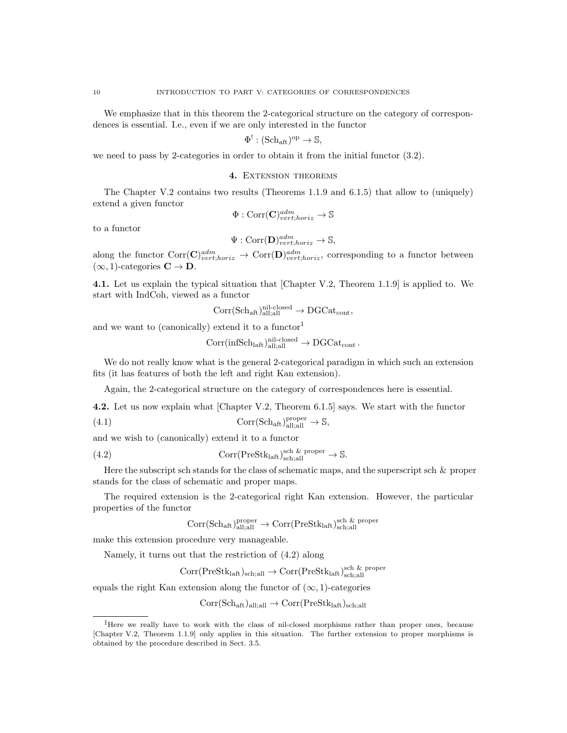We emphasize that in this theorem the 2-categorical structure on the category of correspondences is essential. I.e., even if we are only interested in the functor

$$
\Phi^!: (\mathrm{Sch}_{\mathrm{aft}})^{\mathrm{op}} \to \mathbb{S},
$$

we need to pass by 2-categories in order to obtain it from the initial functor (3.2).

#### 4. Extension theorems

The Chapter V.2 contains two results (Theorems 1.1.9 and 6.1.5) that allow to (uniquely) extend a given functor

$$
\Phi : \text{Corr}(\mathbf{C})^{adm}_{vert;horiz} \to \mathbb{S}
$$

to a functor

$$
\Psi: \mathrm{Corr}(\mathbf{D})^{adm}_{vert;horiz} \to \mathbb{S},
$$

along the functor  $Corr(\mathbf{C})^{adm}_{vert;horiz} \to Corr(\mathbf{D})^{adm}_{vert;horiz}$ , corresponding to a functor between  $(\infty, 1)$ -categories  $C \to D$ .

4.1. Let us explain the typical situation that [Chapter V.2, Theorem 1.1.9] is applied to. We start with IndCoh, viewed as a functor

$$
\rm Corr(Sch_{aft})_{all;all}^{nil-closed} \rightarrow \rm DGCat_{cont},
$$

and we want to (canonically) extend it to a functor<sup>1</sup>

$$
\mathrm{Corr}(\mathrm{infSch}_{\mathrm{laft}})_{\mathrm{all;all}}^{\mathrm{nil-closed}} \to \mathrm{DGCat}_{\mathrm{cont}}\,.
$$

We do not really know what is the general 2-categorical paradigm in which such an extension fits (it has features of both the left and right Kan extension).

Again, the 2-categorical structure on the category of correspondences here is essential.

4.2. Let us now explain what [Chapter V.2, Theorem 6.1.5] says. We start with the functor

(4.1) 
$$
Corr(\text{Sch}_{\text{aft}})_{\text{all;all}}^{\text{proper}} \to \mathbb{S},
$$

and we wish to (canonically) extend it to a functor

(4.2) 
$$
Corr(PreStklaff)sch,allsch & proper \to \mathbb{S}.
$$

Here the subscript sch stands for the class of schematic maps, and the superscript sch  $\&$  proper stands for the class of schematic and proper maps.

The required extension is the 2-categorical right Kan extension. However, the particular properties of the functor

$$
\rm{Corr(Sch_{aft})}_{all;all}^{\rm proper} \rightarrow \rm{Corr(PreStk_{laft})}_{\rm{sch;all}}^{\rm{sch\ \&\ proper}}
$$

make this extension procedure very manageable.

Namely, it turns out that the restriction of (4.2) along

$$
\mathrm{Corr}(\mathrm{PreStk}_{\mathrm{laft}})_{\mathrm{sch}; \mathrm{all}} \rightarrow \mathrm{Corr}(\mathrm{PreStk}_{\mathrm{laft}})_{\mathrm{sch}; \mathrm{all}}^{\mathrm{sch\ \&\ proper}}
$$

equals the right Kan extension along the functor of  $(\infty, 1)$ -categories

$$
Corr(Sch_{aft})_{all;all} \rightarrow Corr(PreStk_{laff})_{sch;all}
$$

<sup>1</sup>Here we really have to work with the class of nil-closed morphisms rather than proper ones, because [Chapter V.2, Theorem 1.1.9] only applies in this situation. The further extension to proper morphisms is obtained by the procedure described in Sect. 3.5.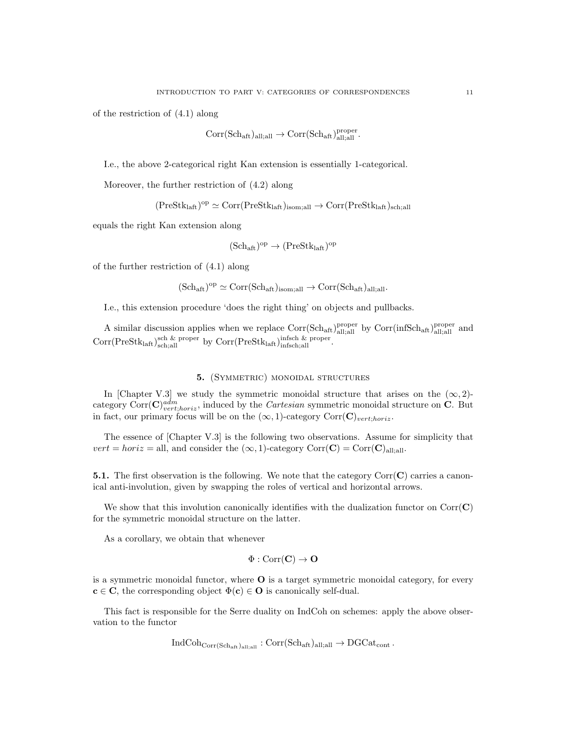of the restriction of (4.1) along

$$
\mathrm{Corr}(\mathrm{Sch}_\mathrm{aft})_{\mathrm{all};\mathrm{all}}\to \mathrm{Corr}(\mathrm{Sch}_\mathrm{aft})_{\mathrm{all};\mathrm{all}}^{\mathrm{proper}}.
$$

I.e., the above 2-categorical right Kan extension is essentially 1-categorical.

Moreover, the further restriction of (4.2) along

 $(PreStk<sub>laff</sub>)<sup>op</sup> \simeq Corr(PreStk<sub>laff</sub>)<sub>isom;all</sub> \rightarrow Corr(PreStk<sub>laff</sub>)<sub>sch;all</sub>$ 

equals the right Kan extension along

$$
(\mathrm{Sch}_{\mathrm{aft}})^{\mathrm{op}} \to (\mathrm{PreStk}_{\mathrm{laft}})^{\mathrm{op}}
$$

of the further restriction of (4.1) along

 $(\text{Sch}_{\text{aff}})^{\text{op}} \simeq \text{Corr}(\text{Sch}_{\text{aff}})_{\text{isom};\text{all}} \to \text{Corr}(\text{Sch}_{\text{aff}})_{\text{all};\text{all}}.$ 

I.e., this extension procedure 'does the right thing' on objects and pullbacks.

A similar discussion applies when we replace  $Corr(Sch_{att})_{all;all}^{proper}$  by  $Corr(infSch_{aff})_{all;all}^{proper}$  and  $Corr(PreStk<sub>laff</sub>)<sub>sch,all</sub><sup>sch & proper</sup> by  $Corr(PreStk<sub>laff</sub>)<sub>infsch,all</sub><sup>infsch</sup>$ .$ 

# 5. (SYMMETRIC) MONOIDAL STRUCTURES

In [Chapter V.3] we study the symmetric monoidal structure that arises on the  $(\infty, 2)$ category Corr $(\mathbf{C})^{adm}_{vert;horiz}$ , induced by the *Cartesian* symmetric monoidal structure on **C**. But in fact, our primary focus will be on the  $(\infty, 1)$ -category Corr(C)<sub>vert;horiz</sub>.

The essence of [Chapter V.3] is the following two observations. Assume for simplicity that  $vert = horiz = \text{all}$ , and consider the  $(\infty, 1)$ -category  $Corr(C) = Corr(C)_{\text{all}:\text{all}}$ .

**5.1.** The first observation is the following. We note that the category  $Corr(C)$  carries a canonical anti-involution, given by swapping the roles of vertical and horizontal arrows.

We show that this involution canonically identifies with the dualization functor on  $Corr(C)$ for the symmetric monoidal structure on the latter.

As a corollary, we obtain that whenever

$$
\Phi : \mathrm{Corr}(\mathbf{C}) \to \mathbf{O}
$$

is a symmetric monoidal functor, where O is a target symmetric monoidal category, for every  $c \in \mathbb{C}$ , the corresponding object  $\Phi(c) \in \mathbb{O}$  is canonically self-dual.

This fact is responsible for the Serre duality on IndCoh on schemes: apply the above observation to the functor

$$
\operatorname{IndCoh}_{\operatorname{Corr}(\operatorname{Sch}_{\operatorname{aft}})_{\operatorname{all};\operatorname{all}}}: \operatorname{Corr}(\operatorname{Sch}_{\operatorname{aft}})_{\operatorname{all};\operatorname{all}} \to \operatorname{DGCat}_{\operatorname{cont}}.
$$